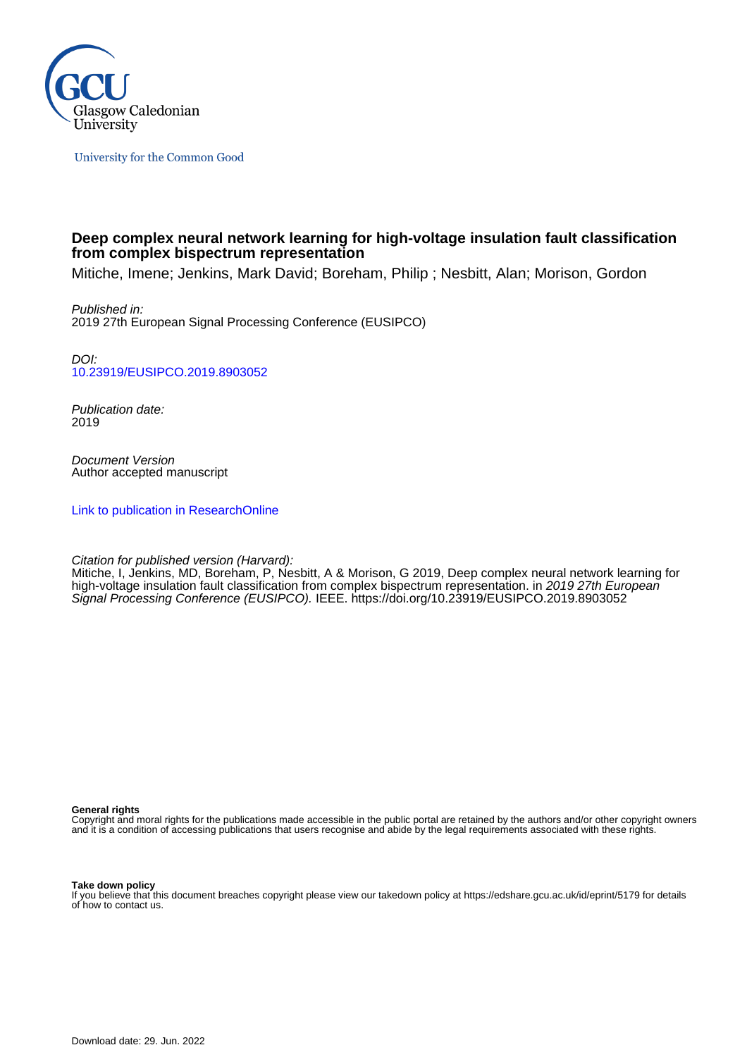

University for the Common Good

# **Deep complex neural network learning for high-voltage insulation fault classification from complex bispectrum representation**

Mitiche, Imene; Jenkins, Mark David; Boreham, Philip ; Nesbitt, Alan; Morison, Gordon

Published in: 2019 27th European Signal Processing Conference (EUSIPCO)

DOI: [10.23919/EUSIPCO.2019.8903052](https://doi.org/10.23919/EUSIPCO.2019.8903052)

Publication date: 2019

Document Version Author accepted manuscript

[Link to publication in ResearchOnline](https://researchonline.gcu.ac.uk/en/publications/7db4b22d-edb8-42c8-8f88-c2a4e53cef88)

Citation for published version (Harvard):

Mitiche, I, Jenkins, MD, Boreham, P, Nesbitt, A & Morison, G 2019, Deep complex neural network learning for high-voltage insulation fault classification from complex bispectrum representation. in 2019 27th European Signal Processing Conference (EUSIPCO). IEEE. <https://doi.org/10.23919/EUSIPCO.2019.8903052>

**General rights**

Copyright and moral rights for the publications made accessible in the public portal are retained by the authors and/or other copyright owners and it is a condition of accessing publications that users recognise and abide by the legal requirements associated with these rights.

**Take down policy**

If you believe that this document breaches copyright please view our takedown policy at https://edshare.gcu.ac.uk/id/eprint/5179 for details of how to contact us.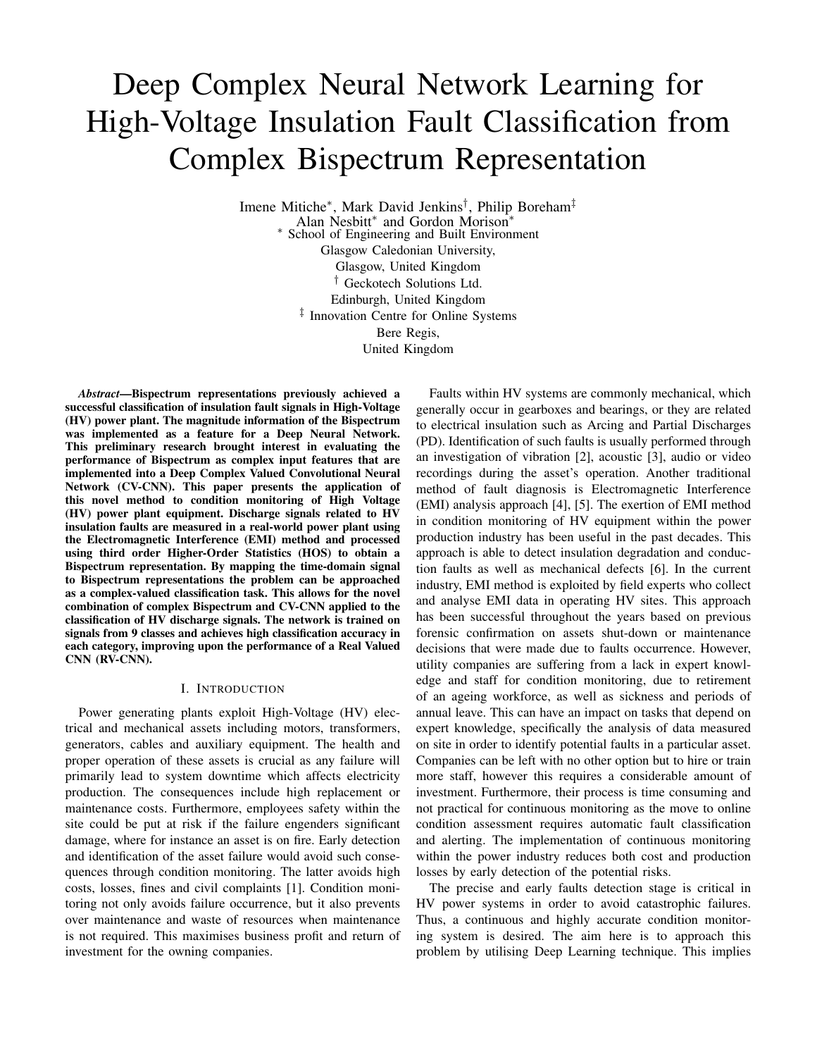# Deep Complex Neural Network Learning for High-Voltage Insulation Fault Classification from Complex Bispectrum Representation

Imene Mitiche<sup>∗</sup> , Mark David Jenkins† , Philip Boreham‡ Alan Nesbitt<sup>\*</sup> and Gordon Morison<sup>\*</sup> School of Engineering and Built Environment Glasgow Caledonian University, Glasgow, United Kingdom † Geckotech Solutions Ltd. Edinburgh, United Kingdom ‡ Innovation Centre for Online Systems Bere Regis, United Kingdom

*Abstract*—Bispectrum representations previously achieved a successful classification of insulation fault signals in High-Voltage (HV) power plant. The magnitude information of the Bispectrum was implemented as a feature for a Deep Neural Network. This preliminary research brought interest in evaluating the performance of Bispectrum as complex input features that are implemented into a Deep Complex Valued Convolutional Neural Network (CV-CNN). This paper presents the application of this novel method to condition monitoring of High Voltage (HV) power plant equipment. Discharge signals related to HV insulation faults are measured in a real-world power plant using the Electromagnetic Interference (EMI) method and processed using third order Higher-Order Statistics (HOS) to obtain a Bispectrum representation. By mapping the time-domain signal to Bispectrum representations the problem can be approached as a complex-valued classification task. This allows for the novel combination of complex Bispectrum and CV-CNN applied to the classification of HV discharge signals. The network is trained on signals from 9 classes and achieves high classification accuracy in each category, improving upon the performance of a Real Valued CNN (RV-CNN).

#### I. INTRODUCTION

Power generating plants exploit High-Voltage (HV) electrical and mechanical assets including motors, transformers, generators, cables and auxiliary equipment. The health and proper operation of these assets is crucial as any failure will primarily lead to system downtime which affects electricity production. The consequences include high replacement or maintenance costs. Furthermore, employees safety within the site could be put at risk if the failure engenders significant damage, where for instance an asset is on fire. Early detection and identification of the asset failure would avoid such consequences through condition monitoring. The latter avoids high costs, losses, fines and civil complaints [1]. Condition monitoring not only avoids failure occurrence, but it also prevents over maintenance and waste of resources when maintenance is not required. This maximises business profit and return of investment for the owning companies.

Faults within HV systems are commonly mechanical, which generally occur in gearboxes and bearings, or they are related to electrical insulation such as Arcing and Partial Discharges (PD). Identification of such faults is usually performed through an investigation of vibration [2], acoustic [3], audio or video recordings during the asset's operation. Another traditional method of fault diagnosis is Electromagnetic Interference (EMI) analysis approach [4], [5]. The exertion of EMI method in condition monitoring of HV equipment within the power production industry has been useful in the past decades. This approach is able to detect insulation degradation and conduction faults as well as mechanical defects [6]. In the current industry, EMI method is exploited by field experts who collect and analyse EMI data in operating HV sites. This approach has been successful throughout the years based on previous forensic confirmation on assets shut-down or maintenance decisions that were made due to faults occurrence. However, utility companies are suffering from a lack in expert knowledge and staff for condition monitoring, due to retirement of an ageing workforce, as well as sickness and periods of annual leave. This can have an impact on tasks that depend on expert knowledge, specifically the analysis of data measured on site in order to identify potential faults in a particular asset. Companies can be left with no other option but to hire or train more staff, however this requires a considerable amount of investment. Furthermore, their process is time consuming and not practical for continuous monitoring as the move to online condition assessment requires automatic fault classification and alerting. The implementation of continuous monitoring within the power industry reduces both cost and production losses by early detection of the potential risks.

The precise and early faults detection stage is critical in HV power systems in order to avoid catastrophic failures. Thus, a continuous and highly accurate condition monitoring system is desired. The aim here is to approach this problem by utilising Deep Learning technique. This implies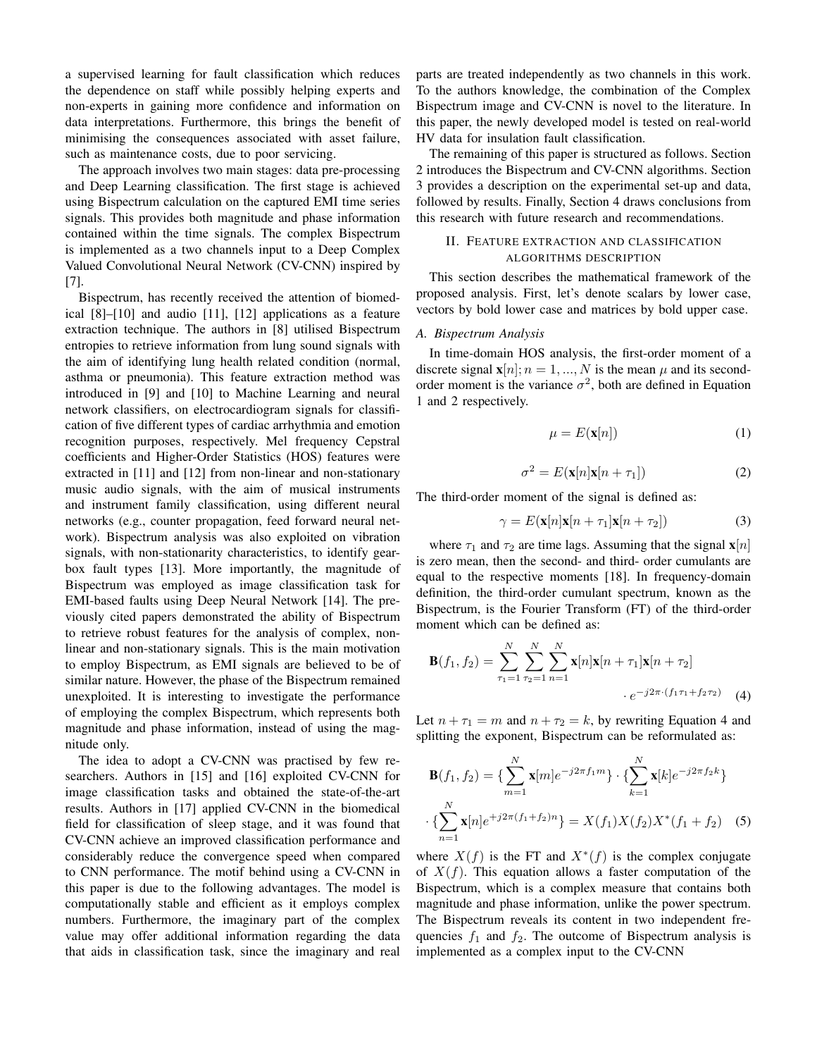a supervised learning for fault classification which reduces the dependence on staff while possibly helping experts and non-experts in gaining more confidence and information on data interpretations. Furthermore, this brings the benefit of minimising the consequences associated with asset failure, such as maintenance costs, due to poor servicing.

The approach involves two main stages: data pre-processing and Deep Learning classification. The first stage is achieved using Bispectrum calculation on the captured EMI time series signals. This provides both magnitude and phase information contained within the time signals. The complex Bispectrum is implemented as a two channels input to a Deep Complex Valued Convolutional Neural Network (CV-CNN) inspired by [7].

Bispectrum, has recently received the attention of biomedical [8]–[10] and audio [11], [12] applications as a feature extraction technique. The authors in [8] utilised Bispectrum entropies to retrieve information from lung sound signals with the aim of identifying lung health related condition (normal, asthma or pneumonia). This feature extraction method was introduced in [9] and [10] to Machine Learning and neural network classifiers, on electrocardiogram signals for classification of five different types of cardiac arrhythmia and emotion recognition purposes, respectively. Mel frequency Cepstral coefficients and Higher-Order Statistics (HOS) features were extracted in [11] and [12] from non-linear and non-stationary music audio signals, with the aim of musical instruments and instrument family classification, using different neural networks (e.g., counter propagation, feed forward neural network). Bispectrum analysis was also exploited on vibration signals, with non-stationarity characteristics, to identify gearbox fault types [13]. More importantly, the magnitude of Bispectrum was employed as image classification task for EMI-based faults using Deep Neural Network [14]. The previously cited papers demonstrated the ability of Bispectrum to retrieve robust features for the analysis of complex, nonlinear and non-stationary signals. This is the main motivation to employ Bispectrum, as EMI signals are believed to be of similar nature. However, the phase of the Bispectrum remained unexploited. It is interesting to investigate the performance of employing the complex Bispectrum, which represents both magnitude and phase information, instead of using the magnitude only.

The idea to adopt a CV-CNN was practised by few researchers. Authors in [15] and [16] exploited CV-CNN for image classification tasks and obtained the state-of-the-art results. Authors in [17] applied CV-CNN in the biomedical field for classification of sleep stage, and it was found that CV-CNN achieve an improved classification performance and considerably reduce the convergence speed when compared to CNN performance. The motif behind using a CV-CNN in this paper is due to the following advantages. The model is computationally stable and efficient as it employs complex numbers. Furthermore, the imaginary part of the complex value may offer additional information regarding the data that aids in classification task, since the imaginary and real parts are treated independently as two channels in this work. To the authors knowledge, the combination of the Complex Bispectrum image and CV-CNN is novel to the literature. In this paper, the newly developed model is tested on real-world HV data for insulation fault classification.

The remaining of this paper is structured as follows. Section 2 introduces the Bispectrum and CV-CNN algorithms. Section 3 provides a description on the experimental set-up and data, followed by results. Finally, Section 4 draws conclusions from this research with future research and recommendations.

# II. FEATURE EXTRACTION AND CLASSIFICATION ALGORITHMS DESCRIPTION

This section describes the mathematical framework of the proposed analysis. First, let's denote scalars by lower case, vectors by bold lower case and matrices by bold upper case.

#### *A. Bispectrum Analysis*

In time-domain HOS analysis, the first-order moment of a discrete signal  $\mathbf{x}[n]; n = 1, ..., N$  is the mean  $\mu$  and its secondorder moment is the variance  $\sigma^2$ , both are defined in Equation 1 and 2 respectively.

$$
\mu = E(\mathbf{x}[n])\tag{1}
$$

$$
\sigma^2 = E(\mathbf{x}[n]\mathbf{x}[n+\tau_1])\tag{2}
$$

The third-order moment of the signal is defined as:

$$
\gamma = E(\mathbf{x}[n]\mathbf{x}[n + \tau_1]\mathbf{x}[n + \tau_2])\tag{3}
$$

where  $\tau_1$  and  $\tau_2$  are time lags. Assuming that the signal  $\mathbf{x}[n]$ is zero mean, then the second- and third- order cumulants are equal to the respective moments [18]. In frequency-domain definition, the third-order cumulant spectrum, known as the Bispectrum, is the Fourier Transform (FT) of the third-order moment which can be defined as:

$$
\mathbf{B}(f_1, f_2) = \sum_{\tau_1=1}^{N} \sum_{\tau_2=1}^{N} \sum_{n=1}^{N} \mathbf{x}[n] \mathbf{x}[n+\tau_1] \mathbf{x}[n+\tau_2]
$$

$$
\cdot e^{-j2\pi \cdot (f_1 \tau_1 + f_2 \tau_2)} \quad (4)
$$

Let  $n + \tau_1 = m$  and  $n + \tau_2 = k$ , by rewriting Equation 4 and splitting the exponent, Bispectrum can be reformulated as:

$$
\mathbf{B}(f_1, f_2) = \{ \sum_{m=1}^{N} \mathbf{x}[m]e^{-j2\pi f_1 m} \} \cdot \{ \sum_{k=1}^{N} \mathbf{x}[k]e^{-j2\pi f_2 k} \}
$$

$$
\cdot \{ \sum_{n=1}^{N} \mathbf{x}[n]e^{+j2\pi (f_1 + f_2)n} \} = X(f_1)X(f_2)X^*(f_1 + f_2) \quad (5)
$$

where  $X(f)$  is the FT and  $X^*(f)$  is the complex conjugate of  $X(f)$ . This equation allows a faster computation of the Bispectrum, which is a complex measure that contains both magnitude and phase information, unlike the power spectrum. The Bispectrum reveals its content in two independent frequencies  $f_1$  and  $f_2$ . The outcome of Bispectrum analysis is implemented as a complex input to the CV-CNN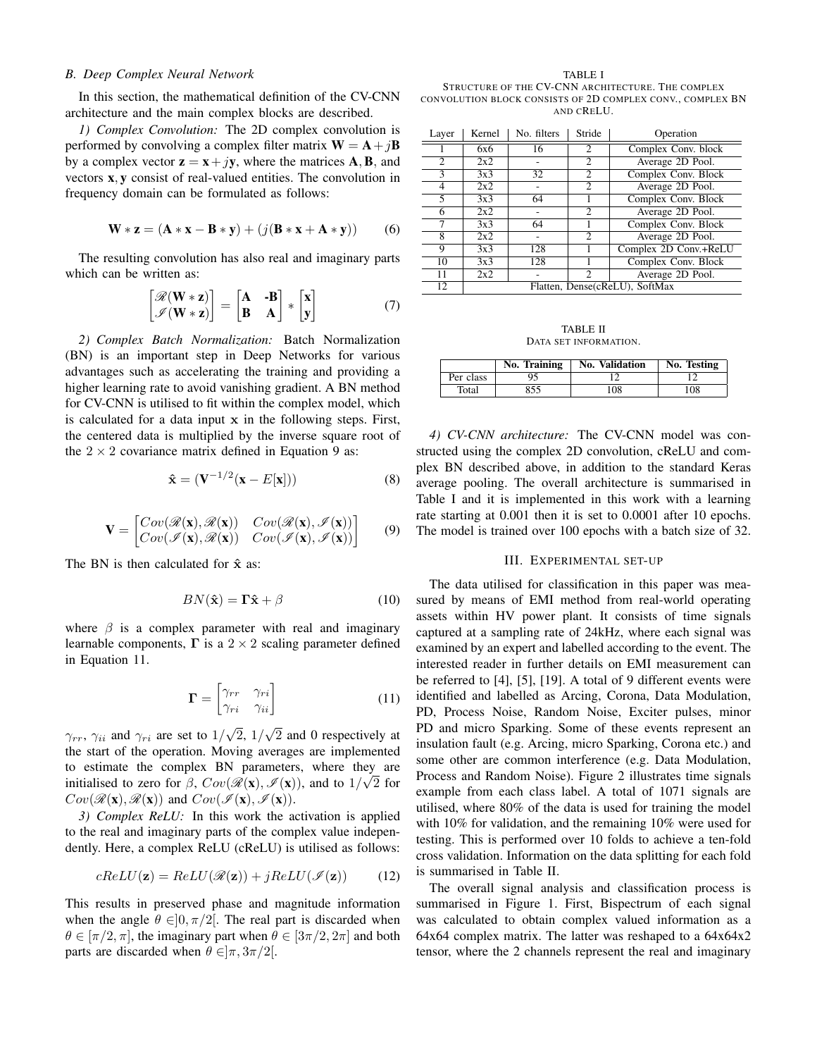#### *B. Deep Complex Neural Network*

In this section, the mathematical definition of the CV-CNN architecture and the main complex blocks are described.

*1) Complex Convolution:* The 2D complex convolution is performed by convolving a complex filter matrix  $W = A + jB$ by a complex vector  $z = x + jy$ , where the matrices **A**, **B**, and vectors x, y consist of real-valued entities. The convolution in frequency domain can be formulated as follows:

$$
\mathbf{W} * \mathbf{z} = (\mathbf{A} * \mathbf{x} - \mathbf{B} * \mathbf{y}) + (j(\mathbf{B} * \mathbf{x} + \mathbf{A} * \mathbf{y}))
$$
(6)

The resulting convolution has also real and imaginary parts which can be written as:

$$
\begin{bmatrix} \mathcal{R}(\mathbf{W} * \mathbf{z}) \\ \mathcal{I}(\mathbf{W} * \mathbf{z}) \end{bmatrix} = \begin{bmatrix} \mathbf{A} & -\mathbf{B} \\ \mathbf{B} & \mathbf{A} \end{bmatrix} * \begin{bmatrix} \mathbf{x} \\ \mathbf{y} \end{bmatrix} \tag{7}
$$

*2) Complex Batch Normalization:* Batch Normalization (BN) is an important step in Deep Networks for various advantages such as accelerating the training and providing a higher learning rate to avoid vanishing gradient. A BN method for CV-CNN is utilised to fit within the complex model, which is calculated for a data input  $x$  in the following steps. First, the centered data is multiplied by the inverse square root of the  $2 \times 2$  covariance matrix defined in Equation 9 as:

$$
\hat{\mathbf{x}} = (\mathbf{V}^{-1/2}(\mathbf{x} - E[\mathbf{x}]))\tag{8}
$$

$$
\mathbf{V} = \begin{bmatrix} Cov(\mathcal{R}(\mathbf{x}), \mathcal{R}(\mathbf{x})) & Cov(\mathcal{R}(\mathbf{x}), \mathcal{I}(\mathbf{x})) \\ Cov(\mathcal{I}(\mathbf{x}), \mathcal{R}(\mathbf{x})) & Cov(\mathcal{I}(\mathbf{x}), \mathcal{I}(\mathbf{x})) \end{bmatrix}
$$
(9)

The BN is then calculated for  $\hat{x}$  as:

$$
BN(\hat{\mathbf{x}}) = \mathbf{\Gamma}\hat{\mathbf{x}} + \beta \tag{10}
$$

where  $\beta$  is a complex parameter with real and imaginary learnable components,  $\Gamma$  is a 2  $\times$  2 scaling parameter defined in Equation 11.

$$
\mathbf{\Gamma} = \begin{bmatrix} \gamma_{rr} & \gamma_{ri} \\ \gamma_{ri} & \gamma_{ii} \end{bmatrix} \tag{11}
$$

 $\gamma_{rr}, \gamma_{ii}$  and  $\gamma_{ri}$  are set to  $1/$ √ 2, 1/ √ 2 and 0 respectively at the start of the operation. Moving averages are implemented to estimate the complex BN parameters, where they are initialised to zero for  $\beta$ ,  $Cov(\mathscr{R}(\mathbf{x}), \mathscr{I}(\mathbf{x}))$ , and to  $1/\sqrt{2}$  for  $Cov(\mathcal{R}(\mathbf{x}), \mathcal{R}(\mathbf{x}))$  and  $Cov(\mathcal{I}(\mathbf{x}), \mathcal{I}(\mathbf{x})).$ 

*3) Complex ReLU:* In this work the activation is applied to the real and imaginary parts of the complex value independently. Here, a complex ReLU (cReLU) is utilised as follows:

$$
cReLU(\mathbf{z}) = ReLU(\mathcal{R}(\mathbf{z})) + jReLU(\mathcal{I}(\mathbf{z})) \tag{12}
$$

This results in preserved phase and magnitude information when the angle  $\theta \in ]0, \pi/2[$ . The real part is discarded when  $\theta \in [\pi/2, \pi]$ , the imaginary part when  $\theta \in [3\pi/2, 2\pi]$  and both parts are discarded when  $\theta \in ]\pi, 3\pi/2[$ .

TABLE I STRUCTURE OF THE CV-CNN ARCHITECTURE. THE COMPLEX CONVOLUTION BLOCK CONSISTS OF 2D COMPLEX CONV., COMPLEX BN AND CRELU.

| Layer          | Kernel                         | No. filters | Stride                      | Operation             |  |
|----------------|--------------------------------|-------------|-----------------------------|-----------------------|--|
|                | 6x6                            | 16          | 2                           | Complex Conv. block   |  |
| $\overline{c}$ | 2x2                            |             | $\overline{c}$              | Average 2D Pool.      |  |
| 3              | 3x3                            | 32          | $\overline{c}$              | Complex Conv. Block   |  |
| 4              | 2x2                            |             | 2                           | Average 2D Pool.      |  |
| 5              | 3x3                            | 64          |                             | Complex Conv. Block   |  |
| 6              | 2x2                            |             | $\overline{c}$              | Average 2D Pool.      |  |
| 7              | 3x3                            | 64          |                             | Complex Conv. Block   |  |
| 8              | 2x2                            |             | $\mathfrak{D}$              | Average 2D Pool.      |  |
| 9              | 3x3                            | 128         |                             | Complex 2D Conv.+ReLU |  |
| 10             | 3x3                            | 128         |                             | Complex Conv. Block   |  |
| 11             | 2x2                            |             | $\mathcal{D}_{\mathcal{L}}$ | Average 2D Pool.      |  |
| 12             | Flatten, Dense(cReLU), SoftMax |             |                             |                       |  |

TABLE II DATA SET INFORMATION.

|           | No. Training | <b>No. Validation</b> | No. Testing |
|-----------|--------------|-----------------------|-------------|
| Per class |              |                       |             |
| Total     | 855          | 108                   | 108         |

*4) CV-CNN architecture:* The CV-CNN model was constructed using the complex 2D convolution, cReLU and complex BN described above, in addition to the standard Keras average pooling. The overall architecture is summarised in Table I and it is implemented in this work with a learning rate starting at 0.001 then it is set to 0.0001 after 10 epochs. The model is trained over 100 epochs with a batch size of 32.

### III. EXPERIMENTAL SET-UP

The data utilised for classification in this paper was measured by means of EMI method from real-world operating assets within HV power plant. It consists of time signals captured at a sampling rate of 24kHz, where each signal was examined by an expert and labelled according to the event. The interested reader in further details on EMI measurement can be referred to [4], [5], [19]. A total of 9 different events were identified and labelled as Arcing, Corona, Data Modulation, PD, Process Noise, Random Noise, Exciter pulses, minor PD and micro Sparking. Some of these events represent an insulation fault (e.g. Arcing, micro Sparking, Corona etc.) and some other are common interference (e.g. Data Modulation, Process and Random Noise). Figure 2 illustrates time signals example from each class label. A total of 1071 signals are utilised, where 80% of the data is used for training the model with 10% for validation, and the remaining 10% were used for testing. This is performed over 10 folds to achieve a ten-fold cross validation. Information on the data splitting for each fold is summarised in Table II.

The overall signal analysis and classification process is summarised in Figure 1. First, Bispectrum of each signal was calculated to obtain complex valued information as a 64x64 complex matrix. The latter was reshaped to a 64x64x2 tensor, where the 2 channels represent the real and imaginary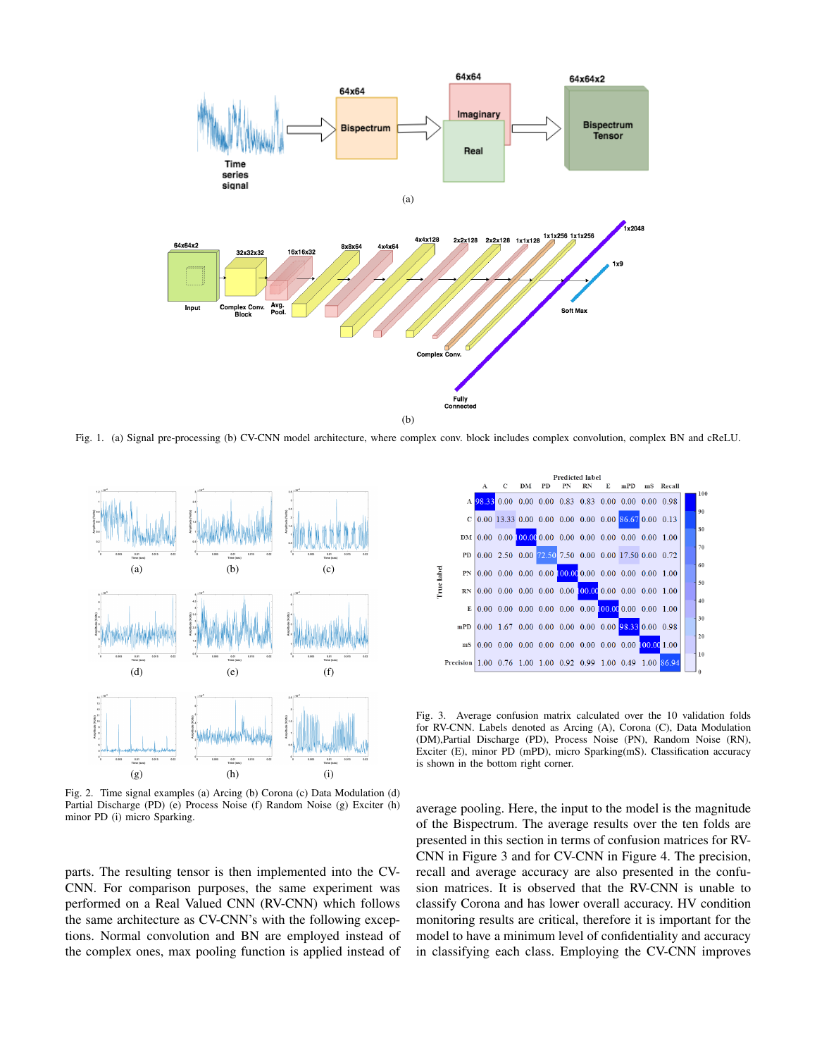

Fig. 1. (a) Signal pre-processing (b) CV-CNN model architecture, where complex conv. block includes complex convolution, complex BN and cReLU.



Fig. 2. Time signal examples (a) Arcing (b) Corona (c) Data Modulation (d) Partial Discharge (PD) (e) Process Noise (f) Random Noise (g) Exciter (h) minor PD (i) micro Sparking.

parts. The resulting tensor is then implemented into the CV-CNN. For comparison purposes, the same experiment was performed on a Real Valued CNN (RV-CNN) which follows the same architecture as CV-CNN's with the following exceptions. Normal convolution and BN are employed instead of the complex ones, max pooling function is applied instead of



Fig. 3. Average confusion matrix calculated over the 10 validation folds for RV-CNN. Labels denoted as Arcing (A), Corona (C), Data Modulation (DM),Partial Discharge (PD), Process Noise (PN), Random Noise (RN), Exciter (E), minor PD (mPD), micro Sparking(mS). Classification accuracy is shown in the bottom right corner.

average pooling. Here, the input to the model is the magnitude of the Bispectrum. The average results over the ten folds are presented in this section in terms of confusion matrices for RV-CNN in Figure 3 and for CV-CNN in Figure 4. The precision, recall and average accuracy are also presented in the confusion matrices. It is observed that the RV-CNN is unable to classify Corona and has lower overall accuracy. HV condition monitoring results are critical, therefore it is important for the model to have a minimum level of confidentiality and accuracy in classifying each class. Employing the CV-CNN improves